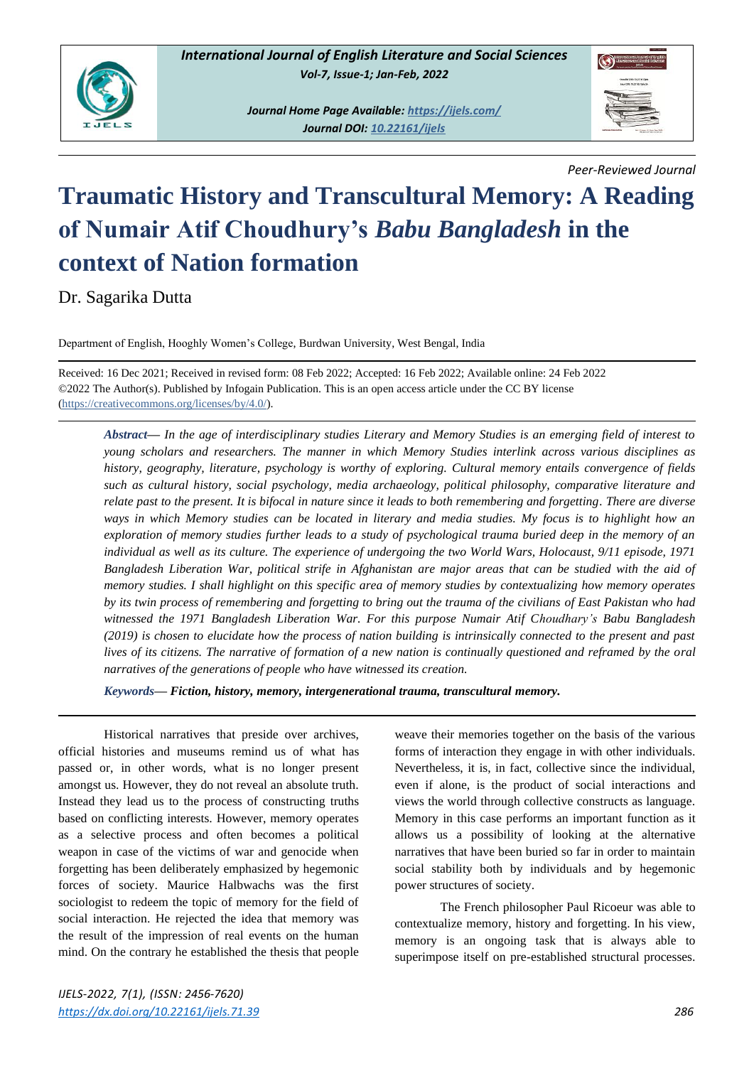

*Journal Home Page Available:<https://ijels.com/> Journal DOI: [10.22161/ijels](https://dx.doi.org/10.22161/ijels)*



*Peer-Reviewed Journal*

## **Traumatic History and Transcultural Memory: A Reading of Numair Atif Choudhury's** *Babu Bangladesh* **in the context of Nation formation**

Dr. Sagarika Dutta

Department of English, Hooghly Women's College, Burdwan University, West Bengal, India

Received: 16 Dec 2021; Received in revised form: 08 Feb 2022; Accepted: 16 Feb 2022; Available online: 24 Feb 2022 ©2022 The Author(s). Published by Infogain Publication. This is an open access article under the CC BY license [\(https://creativecommons.org/licenses/by/4.0/\)](https://creativecommons.org/licenses/by/4.0/).

*Abstract— In the age of interdisciplinary studies Literary and Memory Studies is an emerging field of interest to young scholars and researchers. The manner in which Memory Studies interlink across various disciplines as history, geography, literature, psychology is worthy of exploring. Cultural memory entails convergence of fields such as cultural history, social psychology, media archaeology, political philosophy, comparative literature and relate past to the present. It is bifocal in nature since it leads to both remembering and forgetting. There are diverse ways in which Memory studies can be located in literary and media studies. My focus is to highlight how an exploration of memory studies further leads to a study of psychological trauma buried deep in the memory of an individual as well as its culture. The experience of undergoing the two World Wars, Holocaust, 9/11 episode, 1971 Bangladesh Liberation War, political strife in Afghanistan are major areas that can be studied with the aid of memory studies. I shall highlight on this specific area of memory studies by contextualizing how memory operates by its twin process of remembering and forgetting to bring out the trauma of the civilians of East Pakistan who had witnessed the 1971 Bangladesh Liberation War. For this purpose Numair Atif Choudhary's Babu Bangladesh (2019) is chosen to elucidate how the process of nation building is intrinsically connected to the present and past lives of its citizens. The narrative of formation of a new nation is continually questioned and reframed by the oral narratives of the generations of people who have witnessed its creation.* 

*Keywords— Fiction, history, memory, intergenerational trauma, transcultural memory.*

Historical narratives that preside over archives, official histories and museums remind us of what has passed or, in other words, what is no longer present amongst us. However, they do not reveal an absolute truth. Instead they lead us to the process of constructing truths based on conflicting interests. However, memory operates as a selective process and often becomes a political weapon in case of the victims of war and genocide when forgetting has been deliberately emphasized by hegemonic forces of society. Maurice Halbwachs was the first sociologist to redeem the topic of memory for the field of social interaction. He rejected the idea that memory was the result of the impression of real events on the human mind. On the contrary he established the thesis that people weave their memories together on the basis of the various forms of interaction they engage in with other individuals. Nevertheless, it is, in fact, collective since the individual, even if alone, is the product of social interactions and views the world through collective constructs as language. Memory in this case performs an important function as it allows us a possibility of looking at the alternative narratives that have been buried so far in order to maintain social stability both by individuals and by hegemonic power structures of society.

The French philosopher Paul Ricoeur was able to contextualize memory, history and forgetting. In his view, memory is an ongoing task that is always able to superimpose itself on pre-established structural processes.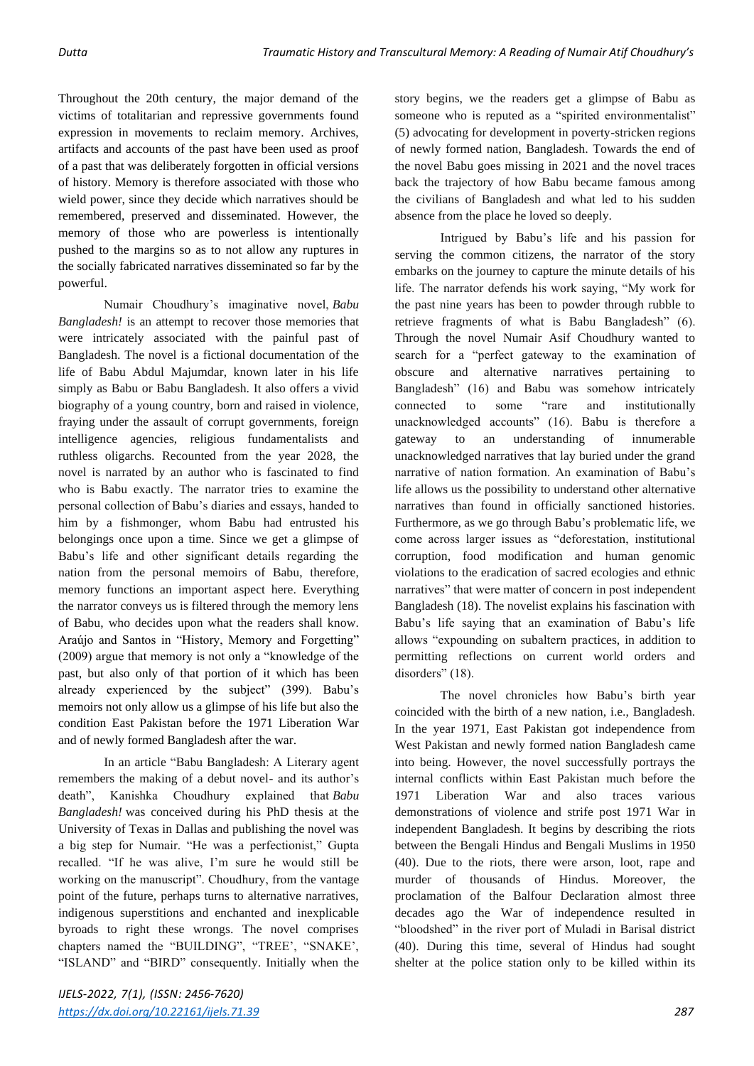Throughout the 20th century, the major demand of the victims of totalitarian and repressive governments found expression in movements to reclaim memory. Archives, artifacts and accounts of the past have been used as proof of a past that was deliberately forgotten in official versions of history. Memory is therefore associated with those who wield power, since they decide which narratives should be remembered, preserved and disseminated. However, the memory of those who are powerless is intentionally pushed to the margins so as to not allow any ruptures in the socially fabricated narratives disseminated so far by the powerful.

Numair Choudhury's imaginative novel, *Babu Bangladesh!* is an attempt to recover those memories that were intricately associated with the painful past of Bangladesh. The novel is a fictional documentation of the life of Babu Abdul Majumdar, known later in his life simply as Babu or Babu Bangladesh. It also offers a vivid biography of a young country, born and raised in violence, fraying under the assault of corrupt governments, foreign intelligence agencies, religious fundamentalists and ruthless oligarchs. Recounted from the year 2028, the novel is narrated by an author who is fascinated to find who is Babu exactly. The narrator tries to examine the personal collection of Babu's diaries and essays, handed to him by a fishmonger, whom Babu had entrusted his belongings once upon a time. Since we get a glimpse of Babu's life and other significant details regarding the nation from the personal memoirs of Babu, therefore, memory functions an important aspect here. Everything the narrator conveys us is filtered through the memory lens of Babu, who decides upon what the readers shall know. Araújo and Santos in "History, Memory and Forgetting" (2009) argue that memory is not only a "knowledge of the past, but also only of that portion of it which has been already experienced by the subject" (399). Babu's memoirs not only allow us a glimpse of his life but also the condition East Pakistan before the 1971 Liberation War and of newly formed Bangladesh after the war.

In an article "Babu Bangladesh: A Literary agent remembers the making of a debut novel- and its author's death", Kanishka Choudhury explained that *Babu Bangladesh!* was conceived during his PhD thesis at the University of Texas in Dallas and publishing the novel was a big step for Numair. "He was a perfectionist," Gupta recalled. "If he was alive, I'm sure he would still be working on the manuscript". Choudhury, from the vantage point of the future, perhaps turns to alternative narratives, indigenous superstitions and enchanted and inexplicable byroads to right these wrongs. The novel comprises chapters named the "BUILDING", "TREE', "SNAKE', "ISLAND" and "BIRD" consequently. Initially when the story begins, we the readers get a glimpse of Babu as someone who is reputed as a "spirited environmentalist" (5) advocating for development in poverty-stricken regions of newly formed nation, Bangladesh. Towards the end of the novel Babu goes missing in 2021 and the novel traces back the trajectory of how Babu became famous among the civilians of Bangladesh and what led to his sudden absence from the place he loved so deeply.

Intrigued by Babu's life and his passion for serving the common citizens, the narrator of the story embarks on the journey to capture the minute details of his life. The narrator defends his work saying, "My work for the past nine years has been to powder through rubble to retrieve fragments of what is Babu Bangladesh" (6). Through the novel Numair Asif Choudhury wanted to search for a "perfect gateway to the examination of obscure and alternative narratives pertaining to Bangladesh" (16) and Babu was somehow intricately connected to some "rare and institutionally unacknowledged accounts" (16). Babu is therefore a gateway to an understanding of innumerable unacknowledged narratives that lay buried under the grand narrative of nation formation. An examination of Babu's life allows us the possibility to understand other alternative narratives than found in officially sanctioned histories. Furthermore, as we go through Babu's problematic life, we come across larger issues as "deforestation, institutional corruption, food modification and human genomic violations to the eradication of sacred ecologies and ethnic narratives" that were matter of concern in post independent Bangladesh (18). The novelist explains his fascination with Babu's life saying that an examination of Babu's life allows "expounding on subaltern practices, in addition to permitting reflections on current world orders and disorders" (18).

The novel chronicles how Babu's birth year coincided with the birth of a new nation, i.e., Bangladesh. In the year 1971, East Pakistan got independence from West Pakistan and newly formed nation Bangladesh came into being. However, the novel successfully portrays the internal conflicts within East Pakistan much before the 1971 Liberation War and also traces various demonstrations of violence and strife post 1971 War in independent Bangladesh. It begins by describing the riots between the Bengali Hindus and Bengali Muslims in 1950 (40). Due to the riots, there were arson, loot, rape and murder of thousands of Hindus. Moreover, the proclamation of the Balfour Declaration almost three decades ago the War of independence resulted in "bloodshed" in the river port of Muladi in Barisal district (40). During this time, several of Hindus had sought shelter at the police station only to be killed within its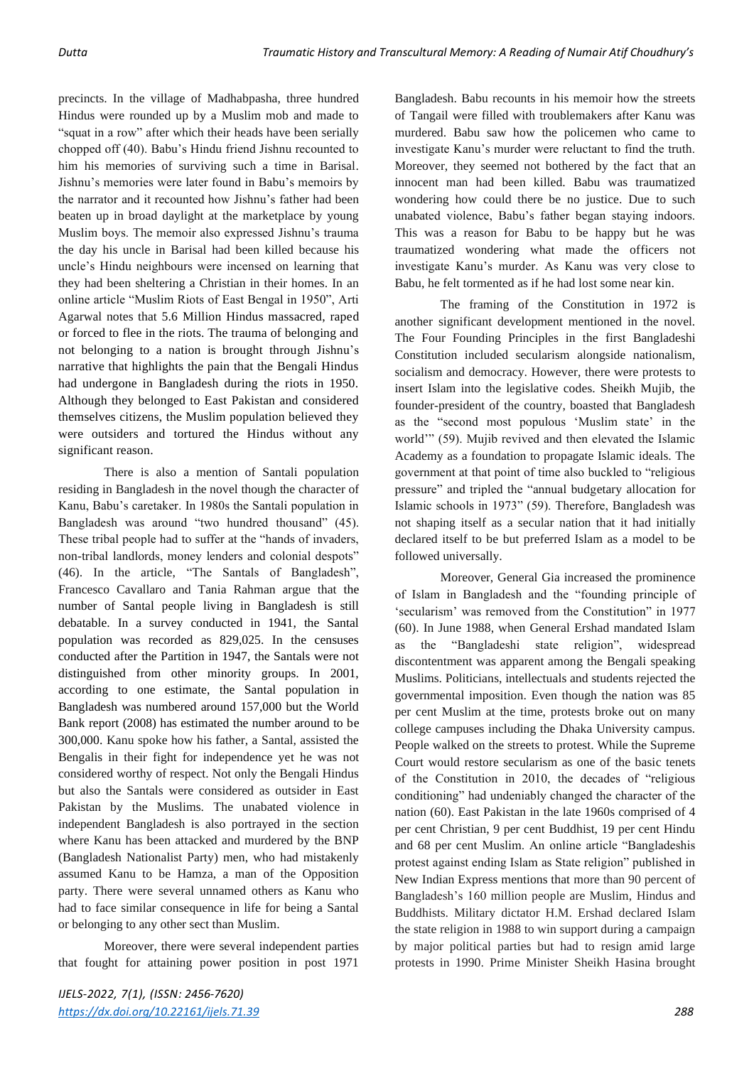precincts. In the village of Madhabpasha, three hundred Hindus were rounded up by a Muslim mob and made to "squat in a row" after which their heads have been serially chopped off (40). Babu's Hindu friend Jishnu recounted to him his memories of surviving such a time in Barisal. Jishnu's memories were later found in Babu's memoirs by the narrator and it recounted how Jishnu's father had been beaten up in broad daylight at the marketplace by young Muslim boys. The memoir also expressed Jishnu's trauma the day his uncle in Barisal had been killed because his uncle's Hindu neighbours were incensed on learning that they had been sheltering a Christian in their homes. In an online article "Muslim Riots of East Bengal in 1950", Arti Agarwal notes that 5.6 Million Hindus massacred, raped or forced to flee in the riots. The trauma of belonging and not belonging to a nation is brought through Jishnu's narrative that highlights the pain that the Bengali Hindus had undergone in Bangladesh during the riots in 1950. Although they belonged to East Pakistan and considered themselves citizens, the Muslim population believed they were outsiders and tortured the Hindus without any significant reason.

There is also a mention of Santali population residing in Bangladesh in the novel though the character of Kanu, Babu's caretaker. In 1980s the Santali population in Bangladesh was around "two hundred thousand" (45). These tribal people had to suffer at the "hands of invaders, non-tribal landlords, money lenders and colonial despots" (46). In the article, "The Santals of Bangladesh", Francesco Cavallaro and Tania Rahman argue that the number of Santal people living in Bangladesh is still debatable. In a survey conducted in 1941, the Santal population was recorded as 829,025. In the censuses conducted after the Partition in 1947, the Santals were not distinguished from other minority groups. In 2001, according to one estimate, the Santal population in Bangladesh was numbered around 157,000 but the World Bank report (2008) has estimated the number around to be 300,000. Kanu spoke how his father, a Santal, assisted the Bengalis in their fight for independence yet he was not considered worthy of respect. Not only the Bengali Hindus but also the Santals were considered as outsider in East Pakistan by the Muslims. The unabated violence in independent Bangladesh is also portrayed in the section where Kanu has been attacked and murdered by the BNP (Bangladesh Nationalist Party) men, who had mistakenly assumed Kanu to be Hamza, a man of the Opposition party. There were several unnamed others as Kanu who had to face similar consequence in life for being a Santal or belonging to any other sect than Muslim.

Moreover, there were several independent parties that fought for attaining power position in post 1971 Bangladesh. Babu recounts in his memoir how the streets of Tangail were filled with troublemakers after Kanu was murdered. Babu saw how the policemen who came to investigate Kanu's murder were reluctant to find the truth. Moreover, they seemed not bothered by the fact that an innocent man had been killed. Babu was traumatized wondering how could there be no justice. Due to such unabated violence, Babu's father began staying indoors. This was a reason for Babu to be happy but he was traumatized wondering what made the officers not investigate Kanu's murder. As Kanu was very close to Babu, he felt tormented as if he had lost some near kin.

The framing of the Constitution in 1972 is another significant development mentioned in the novel. The Four Founding Principles in the first Bangladeshi Constitution included secularism alongside nationalism, socialism and democracy. However, there were protests to insert Islam into the legislative codes. Sheikh Mujib, the founder-president of the country, boasted that Bangladesh as the "second most populous 'Muslim state' in the world'" (59). Mujib revived and then elevated the Islamic Academy as a foundation to propagate Islamic ideals. The government at that point of time also buckled to "religious pressure" and tripled the "annual budgetary allocation for Islamic schools in 1973" (59). Therefore, Bangladesh was not shaping itself as a secular nation that it had initially declared itself to be but preferred Islam as a model to be followed universally.

Moreover, General Gia increased the prominence of Islam in Bangladesh and the "founding principle of 'secularism' was removed from the Constitution" in 1977 (60). In June 1988, when General Ershad mandated Islam as the "Bangladeshi state religion", widespread discontentment was apparent among the Bengali speaking Muslims. Politicians, intellectuals and students rejected the governmental imposition. Even though the nation was 85 per cent Muslim at the time, protests broke out on many college campuses including the Dhaka University campus. People walked on the streets to protest. While the Supreme Court would restore secularism as one of the basic tenets of the Constitution in 2010, the decades of "religious conditioning" had undeniably changed the character of the nation (60). East Pakistan in the late 1960s comprised of 4 per cent Christian, 9 per cent Buddhist, 19 per cent Hindu and 68 per cent Muslim. An online article "Bangladeshis protest against ending Islam as State religion" published in New Indian Express mentions that more than 90 percent of Bangladesh's 160 million people are Muslim, Hindus and Buddhists. Military dictator H.M. Ershad declared Islam the state religion in 1988 to win support during a campaign by major political parties but had to resign amid large protests in 1990. Prime Minister Sheikh Hasina brought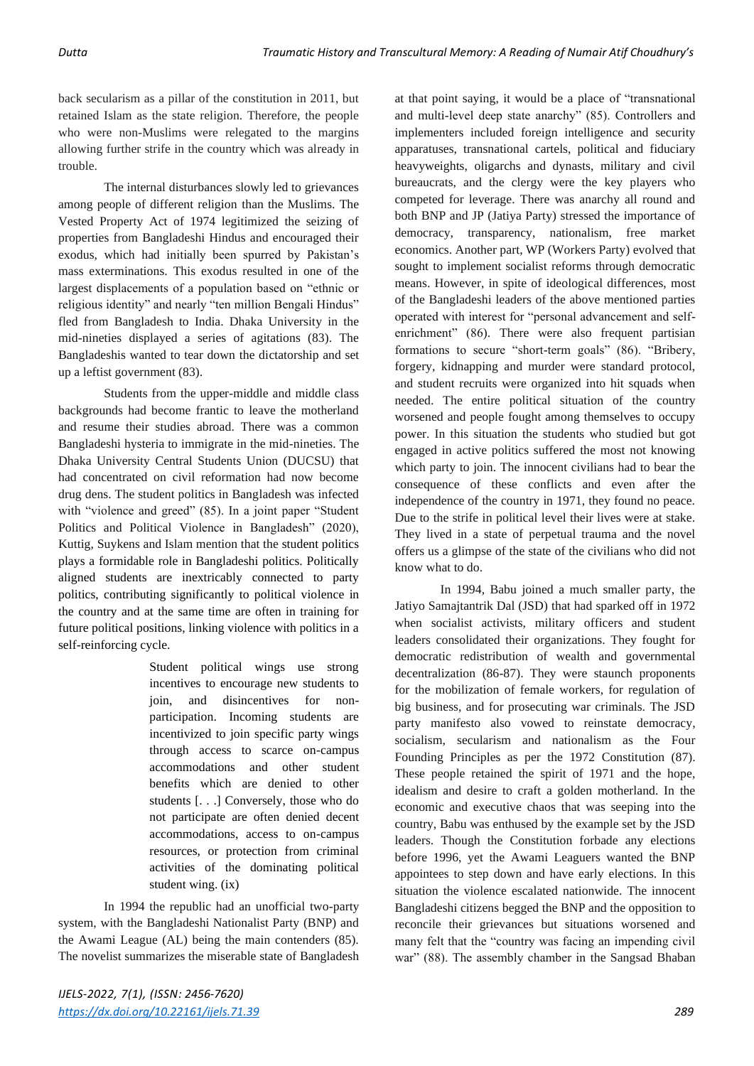back secularism as a pillar of the constitution in 2011, but retained Islam as the state religion. Therefore, the people who were non-Muslims were relegated to the margins allowing further strife in the country which was already in trouble.

The internal disturbances slowly led to grievances among people of different religion than the Muslims. The Vested Property Act of 1974 legitimized the seizing of properties from Bangladeshi Hindus and encouraged their exodus, which had initially been spurred by Pakistan's mass exterminations. This exodus resulted in one of the largest displacements of a population based on "ethnic or religious identity" and nearly "ten million Bengali Hindus" fled from Bangladesh to India. Dhaka University in the mid-nineties displayed a series of agitations (83). The Bangladeshis wanted to tear down the dictatorship and set up a leftist government (83).

Students from the upper-middle and middle class backgrounds had become frantic to leave the motherland and resume their studies abroad. There was a common Bangladeshi hysteria to immigrate in the mid-nineties. The Dhaka University Central Students Union (DUCSU) that had concentrated on civil reformation had now become drug dens. The student politics in Bangladesh was infected with "violence and greed" (85). In a joint paper "Student" Politics and Political Violence in Bangladesh" (2020), Kuttig, Suykens and Islam mention that the student politics plays a formidable role in Bangladeshi politics. Politically aligned students are inextricably connected to party politics, contributing significantly to political violence in the country and at the same time are often in training for future political positions, linking violence with politics in a self-reinforcing cycle.

> Student political wings use strong incentives to encourage new students to join, and disincentives for nonparticipation. Incoming students are incentivized to join specific party wings through access to scarce on-campus accommodations and other student benefits which are denied to other students [. . .] Conversely, those who do not participate are often denied decent accommodations, access to on-campus resources, or protection from criminal activities of the dominating political student wing. (ix)

In 1994 the republic had an unofficial two-party system, with the Bangladeshi Nationalist Party (BNP) and the Awami League (AL) being the main contenders (85). The novelist summarizes the miserable state of Bangladesh

at that point saying, it would be a place of "transnational and multi-level deep state anarchy" (85). Controllers and implementers included foreign intelligence and security apparatuses, transnational cartels, political and fiduciary heavyweights, oligarchs and dynasts, military and civil bureaucrats, and the clergy were the key players who competed for leverage. There was anarchy all round and both BNP and JP (Jatiya Party) stressed the importance of democracy, transparency, nationalism, free market economics. Another part, WP (Workers Party) evolved that sought to implement socialist reforms through democratic means. However, in spite of ideological differences, most of the Bangladeshi leaders of the above mentioned parties operated with interest for "personal advancement and selfenrichment" (86). There were also frequent partisian formations to secure "short-term goals" (86). "Bribery, forgery, kidnapping and murder were standard protocol, and student recruits were organized into hit squads when needed. The entire political situation of the country worsened and people fought among themselves to occupy power. In this situation the students who studied but got engaged in active politics suffered the most not knowing which party to join. The innocent civilians had to bear the consequence of these conflicts and even after the independence of the country in 1971, they found no peace. Due to the strife in political level their lives were at stake. They lived in a state of perpetual trauma and the novel offers us a glimpse of the state of the civilians who did not know what to do.

In 1994, Babu joined a much smaller party, the Jatiyo Samajtantrik Dal (JSD) that had sparked off in 1972 when socialist activists, military officers and student leaders consolidated their organizations. They fought for democratic redistribution of wealth and governmental decentralization (86-87). They were staunch proponents for the mobilization of female workers, for regulation of big business, and for prosecuting war criminals. The JSD party manifesto also vowed to reinstate democracy, socialism, secularism and nationalism as the Four Founding Principles as per the 1972 Constitution (87). These people retained the spirit of 1971 and the hope, idealism and desire to craft a golden motherland. In the economic and executive chaos that was seeping into the country, Babu was enthused by the example set by the JSD leaders. Though the Constitution forbade any elections before 1996, yet the Awami Leaguers wanted the BNP appointees to step down and have early elections. In this situation the violence escalated nationwide. The innocent Bangladeshi citizens begged the BNP and the opposition to reconcile their grievances but situations worsened and many felt that the "country was facing an impending civil war" (88). The assembly chamber in the Sangsad Bhaban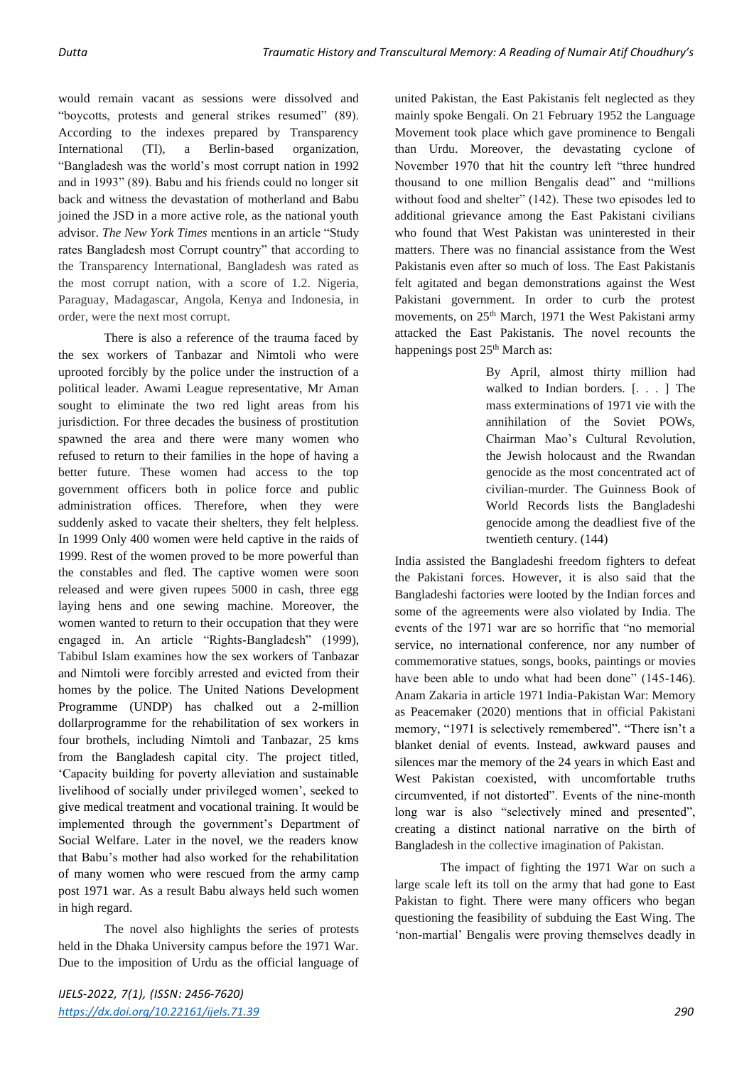would remain vacant as sessions were dissolved and "boycotts, protests and general strikes resumed" (89). According to the indexes prepared by Transparency International (TI), a Berlin-based organization, "Bangladesh was the world's most corrupt nation in 1992 and in 1993" (89). Babu and his friends could no longer sit back and witness the devastation of motherland and Babu joined the JSD in a more active role, as the national youth advisor. *The New York Times* mentions in an article "Study rates Bangladesh most Corrupt country" that according to the Transparency International, Bangladesh was rated as the most corrupt nation, with a score of 1.2. Nigeria, Paraguay, Madagascar, Angola, Kenya and Indonesia, in order, were the next most corrupt.

There is also a reference of the trauma faced by the sex workers of Tanbazar and Nimtoli who were uprooted forcibly by the police under the instruction of a political leader. Awami League representative, Mr Aman sought to eliminate the two red light areas from his jurisdiction. For three decades the business of prostitution spawned the area and there were many women who refused to return to their families in the hope of having a better future. These women had access to the top government officers both in police force and public administration offices. Therefore, when they were suddenly asked to vacate their shelters, they felt helpless. In 1999 Only 400 women were held captive in the raids of 1999. Rest of the women proved to be more powerful than the constables and fled. The captive women were soon released and were given rupees 5000 in cash, three egg laying hens and one sewing machine. Moreover, the women wanted to return to their occupation that they were engaged in. An article "Rights-Bangladesh" (1999), Tabibul Islam examines how the sex workers of Tanbazar and Nimtoli were forcibly arrested and evicted from their homes by the police. The United Nations Development Programme (UNDP) has chalked out a 2-million dollarprogramme for the rehabilitation of sex workers in four brothels, including Nimtoli and Tanbazar, 25 kms from the Bangladesh capital city. The project titled, 'Capacity building for poverty alleviation and sustainable livelihood of socially under privileged women', seeked to give medical treatment and vocational training. It would be implemented through the government's Department of Social Welfare. Later in the novel, we the readers know that Babu's mother had also worked for the rehabilitation of many women who were rescued from the army camp post 1971 war. As a result Babu always held such women in high regard.

The novel also highlights the series of protests held in the Dhaka University campus before the 1971 War. Due to the imposition of Urdu as the official language of united Pakistan, the East Pakistanis felt neglected as they mainly spoke Bengali. On 21 February 1952 the Language Movement took place which gave prominence to Bengali than Urdu. Moreover, the devastating cyclone of November 1970 that hit the country left "three hundred thousand to one million Bengalis dead" and "millions without food and shelter" (142). These two episodes led to additional grievance among the East Pakistani civilians who found that West Pakistan was uninterested in their matters. There was no financial assistance from the West Pakistanis even after so much of loss. The East Pakistanis felt agitated and began demonstrations against the West Pakistani government. In order to curb the protest movements, on 25<sup>th</sup> March, 1971 the West Pakistani army attacked the East Pakistanis. The novel recounts the happenings post 25<sup>th</sup> March as:

> By April, almost thirty million had walked to Indian borders. [. . . ] The mass exterminations of 1971 vie with the annihilation of the Soviet POWs, Chairman Mao's Cultural Revolution, the Jewish holocaust and the Rwandan genocide as the most concentrated act of civilian-murder. The Guinness Book of World Records lists the Bangladeshi genocide among the deadliest five of the twentieth century. (144)

India assisted the Bangladeshi freedom fighters to defeat the Pakistani forces. However, it is also said that the Bangladeshi factories were looted by the Indian forces and some of the agreements were also violated by India. The events of the 1971 war are so horrific that "no memorial service, no international conference, nor any number of commemorative statues, songs, books, paintings or movies have been able to undo what had been done" (145-146). Anam Zakaria in article 1971 India-Pakistan War: Memory as Peacemaker (2020) mentions that in official Pakistani memory, "1971 is selectively remembered". "There isn't a blanket denial of events. Instead, awkward pauses and silences mar the memory of the 24 years in which East and West Pakistan coexisted, with uncomfortable truths circumvented, if not distorted". Events of the nine-month long war is also "selectively mined and presented", creating a distinct national narrative on the birth of Bangladesh in the collective imagination of Pakistan.

The impact of fighting the 1971 War on such a large scale left its toll on the army that had gone to East Pakistan to fight. There were many officers who began questioning the feasibility of subduing the East Wing. The 'non-martial' Bengalis were proving themselves deadly in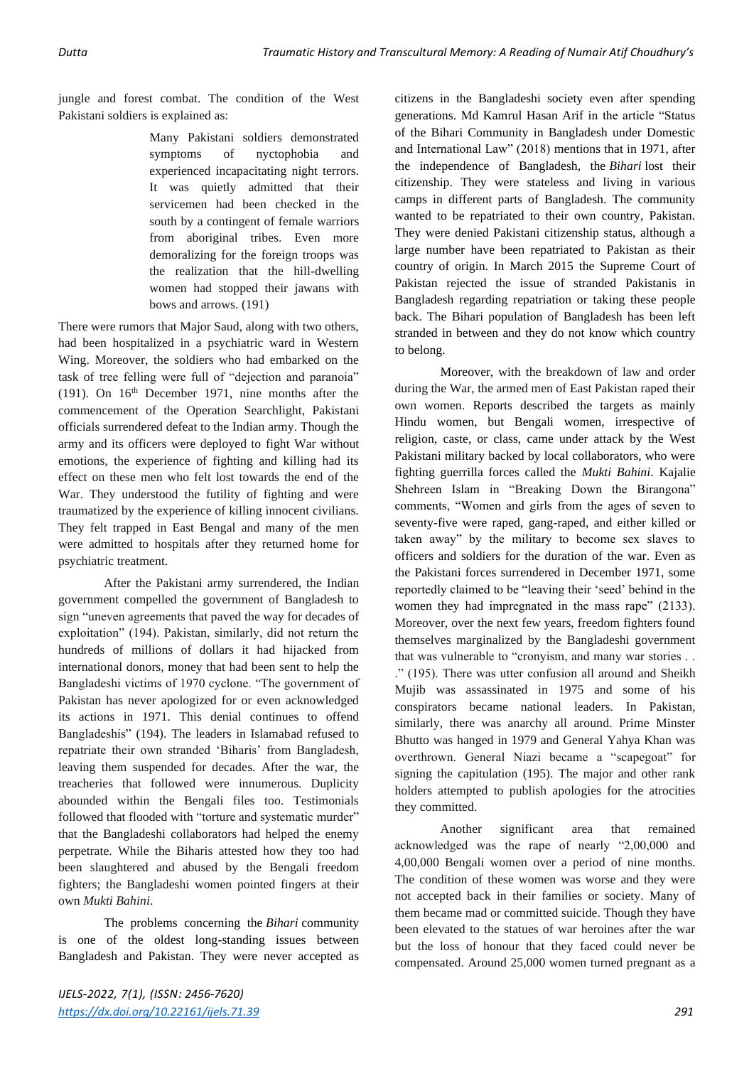jungle and forest combat. The condition of the West Pakistani soldiers is explained as:

> Many Pakistani soldiers demonstrated symptoms of nyctophobia and experienced incapacitating night terrors. It was quietly admitted that their servicemen had been checked in the south by a contingent of female warriors from aboriginal tribes. Even more demoralizing for the foreign troops was the realization that the hill-dwelling women had stopped their jawans with bows and arrows. (191)

There were rumors that Major Saud, along with two others, had been hospitalized in a psychiatric ward in Western Wing. Moreover, the soldiers who had embarked on the task of tree felling were full of "dejection and paranoia" (191). On  $16<sup>th</sup>$  December 1971, nine months after the commencement of the Operation Searchlight, Pakistani officials surrendered defeat to the Indian army. Though the army and its officers were deployed to fight War without emotions, the experience of fighting and killing had its effect on these men who felt lost towards the end of the War. They understood the futility of fighting and were traumatized by the experience of killing innocent civilians. They felt trapped in East Bengal and many of the men were admitted to hospitals after they returned home for psychiatric treatment.

After the Pakistani army surrendered, the Indian government compelled the government of Bangladesh to sign "uneven agreements that paved the way for decades of exploitation" (194). Pakistan, similarly, did not return the hundreds of millions of dollars it had hijacked from international donors, money that had been sent to help the Bangladeshi victims of 1970 cyclone. "The government of Pakistan has never apologized for or even acknowledged its actions in 1971. This denial continues to offend Bangladeshis" (194). The leaders in Islamabad refused to repatriate their own stranded 'Biharis' from Bangladesh, leaving them suspended for decades. After the war, the treacheries that followed were innumerous. Duplicity abounded within the Bengali files too. Testimonials followed that flooded with "torture and systematic murder" that the Bangladeshi collaborators had helped the enemy perpetrate. While the Biharis attested how they too had been slaughtered and abused by the Bengali freedom fighters; the Bangladeshi women pointed fingers at their own *Mukti Bahini*.

The problems concerning the *Bihari* community is one of the oldest long-standing issues between Bangladesh and Pakistan. They were never accepted as citizens in the Bangladeshi society even after spending generations. Md Kamrul Hasan Arif in the article "Status of the Bihari Community in Bangladesh under Domestic and International Law" (2018) mentions that in 1971, after the independence of Bangladesh, the *Bihari* lost their citizenship. They were stateless and living in various camps in different parts of Bangladesh. The community wanted to be repatriated to their own country, Pakistan. They were denied Pakistani citizenship status, although a large number have been repatriated to Pakistan as their country of origin. In March 2015 the Supreme Court of Pakistan rejected the issue of stranded Pakistanis in Bangladesh regarding repatriation or taking these people back. The Bihari population of Bangladesh has been left stranded in between and they do not know which country to belong.

Moreover, with the breakdown of law and order during the War, the armed men of East Pakistan raped their own women. Reports described the targets as mainly Hindu women, but Bengali women, irrespective of religion, caste, or class, came under attack by the West Pakistani military backed by local collaborators, who were fighting guerrilla forces called the *Mukti Bahini*. Kajalie Shehreen Islam in "Breaking Down the Birangona" comments, "Women and girls from the ages of seven to seventy-five were raped, gang-raped, and either killed or taken away" by the military to become sex slaves to officers and soldiers for the duration of the war. Even as the Pakistani forces surrendered in December 1971, some reportedly claimed to be "leaving their 'seed' behind in the women they had impregnated in the mass rape" (2133). Moreover, over the next few years, freedom fighters found themselves marginalized by the Bangladeshi government that was vulnerable to "cronyism, and many war stories . . ." (195). There was utter confusion all around and Sheikh Mujib was assassinated in 1975 and some of his conspirators became national leaders. In Pakistan, similarly, there was anarchy all around. Prime Minster Bhutto was hanged in 1979 and General Yahya Khan was overthrown. General Niazi became a "scapegoat" for signing the capitulation (195). The major and other rank holders attempted to publish apologies for the atrocities they committed.

Another significant area that remained acknowledged was the rape of nearly "2,00,000 and 4,00,000 Bengali women over a period of nine months. The condition of these women was worse and they were not accepted back in their families or society. Many of them became mad or committed suicide. Though they have been elevated to the statues of war heroines after the war but the loss of honour that they faced could never be compensated. Around 25,000 women turned pregnant as a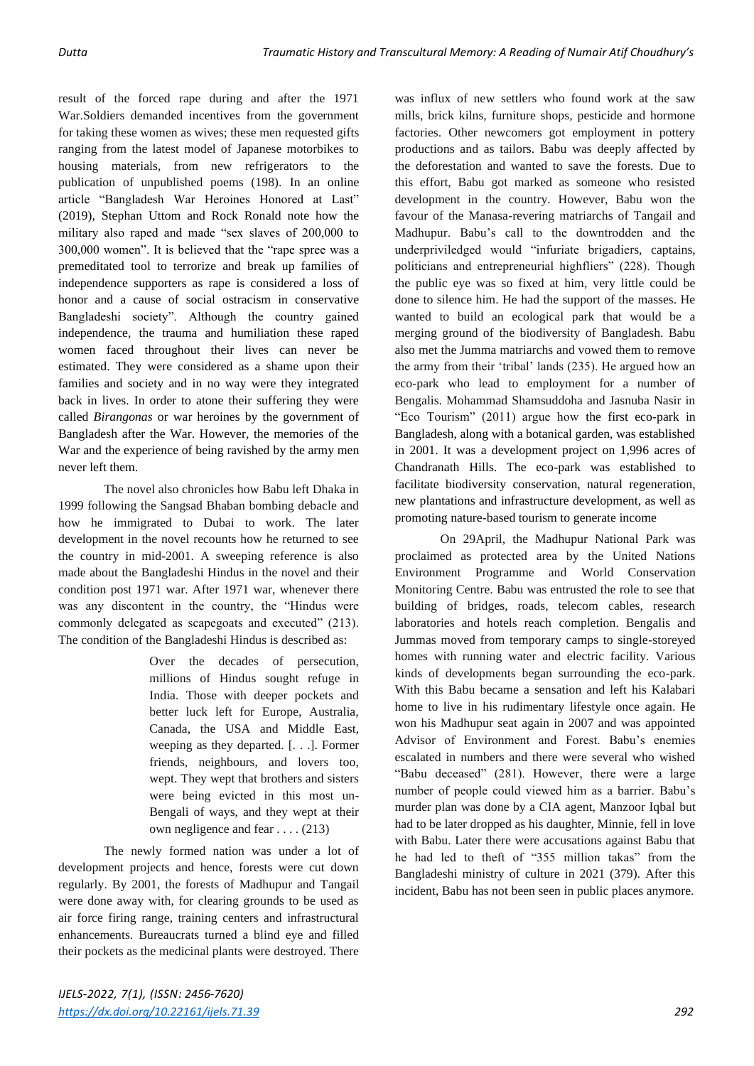result of the forced rape during and after the 1971 War.Soldiers demanded incentives from the government for taking these women as wives; these men requested gifts ranging from the latest model of Japanese motorbikes to housing materials, from new refrigerators to the publication of unpublished poems (198). In an online article "Bangladesh War Heroines Honored at Last" (2019), Stephan Uttom and Rock Ronald note how the military also raped and made "sex slaves of 200,000 to 300,000 women". It is believed that the "rape spree was a premeditated tool to terrorize and break up families of independence supporters as rape is considered a loss of honor and a cause of social ostracism in conservative Bangladeshi society". Although the country gained independence, the trauma and humiliation these raped women faced throughout their lives can never be estimated. They were considered as a shame upon their families and society and in no way were they integrated back in lives. In order to atone their suffering they were called *Birangonas* or war heroines by the government of Bangladesh after the War. However, the memories of the War and the experience of being ravished by the army men never left them.

The novel also chronicles how Babu left Dhaka in 1999 following the Sangsad Bhaban bombing debacle and how he immigrated to Dubai to work. The later development in the novel recounts how he returned to see the country in mid-2001. A sweeping reference is also made about the Bangladeshi Hindus in the novel and their condition post 1971 war. After 1971 war, whenever there was any discontent in the country, the "Hindus were commonly delegated as scapegoats and executed" (213). The condition of the Bangladeshi Hindus is described as:

> Over the decades of persecution, millions of Hindus sought refuge in India. Those with deeper pockets and better luck left for Europe, Australia, Canada, the USA and Middle East, weeping as they departed. [. . .]. Former friends, neighbours, and lovers too, wept. They wept that brothers and sisters were being evicted in this most un-Bengali of ways, and they wept at their own negligence and fear . . . . (213)

The newly formed nation was under a lot of development projects and hence, forests were cut down regularly. By 2001, the forests of Madhupur and Tangail were done away with, for clearing grounds to be used as air force firing range, training centers and infrastructural enhancements. Bureaucrats turned a blind eye and filled their pockets as the medicinal plants were destroyed. There

was influx of new settlers who found work at the saw mills, brick kilns, furniture shops, pesticide and hormone factories. Other newcomers got employment in pottery productions and as tailors. Babu was deeply affected by the deforestation and wanted to save the forests. Due to this effort, Babu got marked as someone who resisted development in the country. However, Babu won the favour of the Manasa-revering matriarchs of Tangail and Madhupur. Babu's call to the downtrodden and the underpriviledged would "infuriate brigadiers, captains, politicians and entrepreneurial highfliers" (228). Though the public eye was so fixed at him, very little could be done to silence him. He had the support of the masses. He wanted to build an ecological park that would be a merging ground of the biodiversity of Bangladesh. Babu also met the Jumma matriarchs and vowed them to remove the army from their 'tribal' lands (235). He argued how an eco-park who lead to employment for a number of Bengalis. Mohammad Shamsuddoha and Jasnuba Nasir in "Eco Tourism" (2011) argue how the first eco-park in Bangladesh, along with a botanical garden, was established in 2001. It was a development project on 1,996 acres of Chandranath Hills. The eco-park was established to facilitate biodiversity conservation, natural regeneration, new plantations and infrastructure development, as well as promoting nature-based tourism to generate income

On 29April, the Madhupur National Park was proclaimed as protected area by the United Nations Environment Programme and World Conservation Monitoring Centre. Babu was entrusted the role to see that building of bridges, roads, telecom cables, research laboratories and hotels reach completion. Bengalis and Jummas moved from temporary camps to single-storeyed homes with running water and electric facility. Various kinds of developments began surrounding the eco-park. With this Babu became a sensation and left his Kalabari home to live in his rudimentary lifestyle once again. He won his Madhupur seat again in 2007 and was appointed Advisor of Environment and Forest. Babu's enemies escalated in numbers and there were several who wished "Babu deceased" (281). However, there were a large number of people could viewed him as a barrier. Babu's murder plan was done by a CIA agent, Manzoor Iqbal but had to be later dropped as his daughter, Minnie, fell in love with Babu. Later there were accusations against Babu that he had led to theft of "355 million takas" from the Bangladeshi ministry of culture in 2021 (379). After this incident, Babu has not been seen in public places anymore.